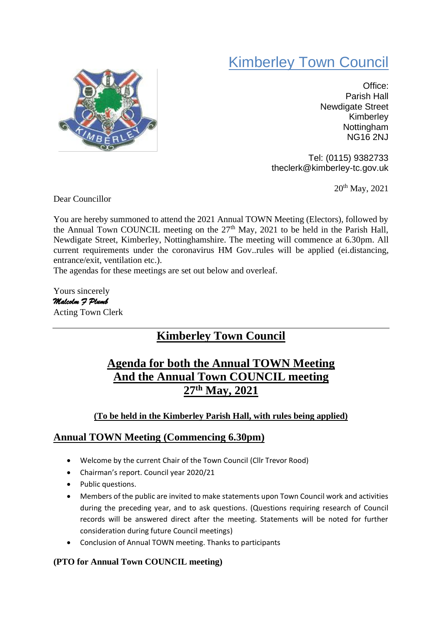# Kimberley Town Council



Office: Parish Hall Newdigate Street Kimberley **Nottingham** NG16 2NJ

Tel: (0115) 9382733 theclerk@kimberley-tc.gov.uk

20th May, 2021

Dear Councillor

You are hereby summoned to attend the 2021 Annual TOWN Meeting (Electors), followed by the Annual Town COUNCIL meeting on the  $27<sup>th</sup>$  May, 2021 to be held in the Parish Hall, Newdigate Street, Kimberley, Nottinghamshire. The meeting will commence at 6.30pm. All current requirements under the coronavirus HM Gov..rules will be applied (ei.distancing, entrance/exit, ventilation etc.).

The agendas for these meetings are set out below and overleaf.

Yours sincerely *Malcolm F Plumb*  Acting Town Clerk

## **Kimberley Town Council**

### **Agenda for both the Annual TOWN Meeting And the Annual Town COUNCIL meeting 27th May, 2021**

#### **(To be held in the Kimberley Parish Hall, with rules being applied)**

#### **Annual TOWN Meeting (Commencing 6.30pm)**

- Welcome by the current Chair of the Town Council (Cllr Trevor Rood)
- Chairman's report. Council year 2020/21
- Public questions.
- Members of the public are invited to make statements upon Town Council work and activities during the preceding year, and to ask questions. (Questions requiring research of Council records will be answered direct after the meeting. Statements will be noted for further consideration during future Council meetings)
- Conclusion of Annual TOWN meeting. Thanks to participants

#### **(PTO for Annual Town COUNCIL meeting)**